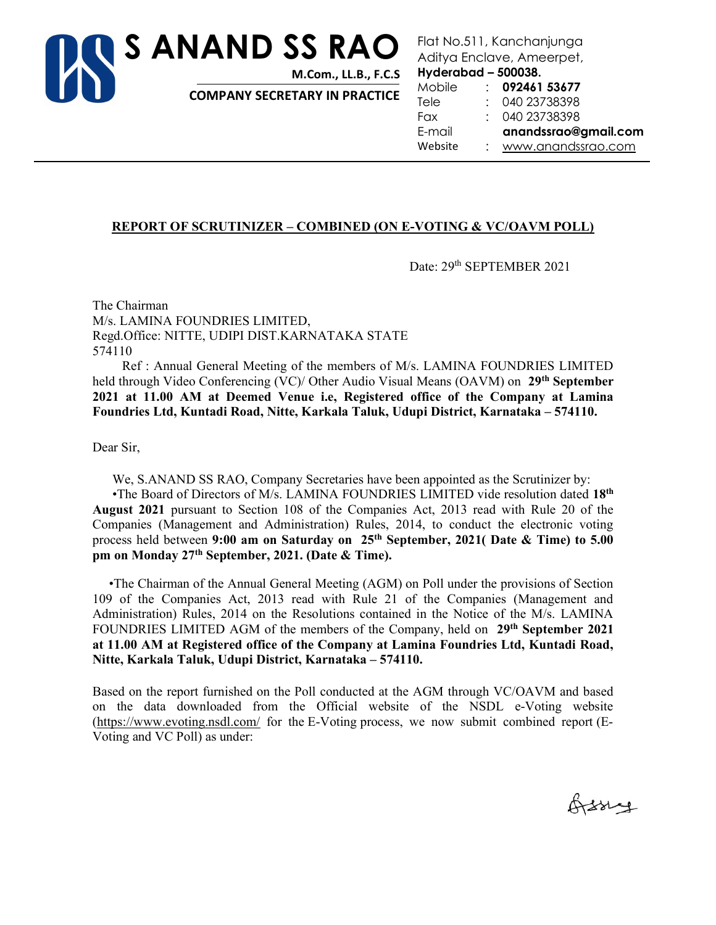

Flat No.511, Kanchanjunga Aditya Enclave, Ameerpet,

Hyderabad – 500038.

COMPANY SECRETARY IN PRACTICE

Mobile : 092461 53677 Tele : 040 23738398 Fax : 040 23738398 E-mail anandssrao@gmail.com Website : www.anandssrao.com

### REPORT OF SCRUTINIZER – COMBINED (ON E-VOTING & VC/OAVM POLL)

Date: 29<sup>th</sup> SEPTEMBER 2021

The Chairman M/s. LAMINA FOUNDRIES LIMITED, Regd.Office: NITTE, UDIPI DIST.KARNATAKA STATE 574110

 Ref : Annual General Meeting of the members of M/s. LAMINA FOUNDRIES LIMITED held through Video Conferencing (VC)/ Other Audio Visual Means (OAVM) on 29<sup>th</sup> September 2021 at 11.00 AM at Deemed Venue i.e, Registered office of the Company at Lamina Foundries Ltd, Kuntadi Road, Nitte, Karkala Taluk, Udupi District, Karnataka – 574110.

Dear Sir,

We, S.ANAND SS RAO, Company Secretaries have been appointed as the Scrutinizer by:

•The Board of Directors of M/s. LAMINA FOUNDRIES LIMITED vide resolution dated 18<sup>th</sup> August 2021 pursuant to Section 108 of the Companies Act, 2013 read with Rule 20 of the Companies (Management and Administration) Rules, 2014, to conduct the electronic voting process held between 9:00 am on Saturday on  $25<sup>th</sup>$  September, 2021( Date & Time) to 5.00 pm on Monday 27th September, 2021. (Date & Time).

 •The Chairman of the Annual General Meeting (AGM) on Poll under the provisions of Section 109 of the Companies Act, 2013 read with Rule 21 of the Companies (Management and Administration) Rules, 2014 on the Resolutions contained in the Notice of the M/s. LAMINA FOUNDRIES LIMITED AGM of the members of the Company, held on 29<sup>th</sup> September 2021 at 11.00 AM at Registered office of the Company at Lamina Foundries Ltd, Kuntadi Road, Nitte, Karkala Taluk, Udupi District, Karnataka – 574110.

Based on the report furnished on the Poll conducted at the AGM through VC/OAVM and based on the data downloaded from the Official website of the NSDL e-Voting website (https://www.evoting.nsdl.com/ for the E-Voting process, we now submit combined report (E-Voting and VC Poll) as under:

Orssey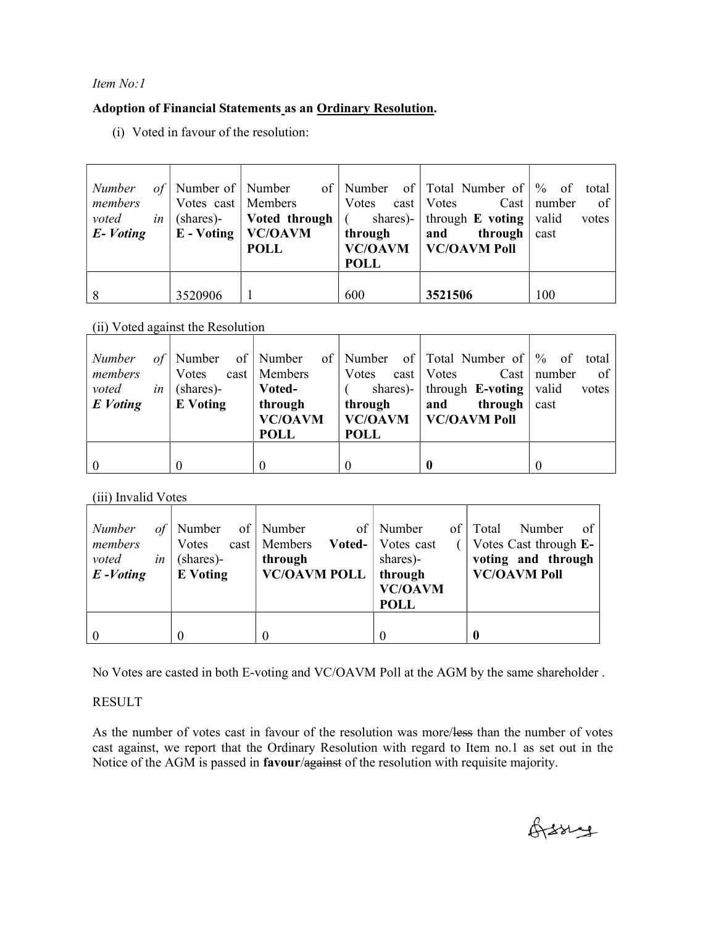### Item No:1

# Adoption of Financial Statements as an Ordinary Resolution.

(i) Voted in favour of the resolution:

| Number<br>members<br>voted<br>in <sub>1</sub><br>$E$ -Voting | Votes cast   Members | $\vert$ (shares)- $\vert$ Voted through $\vert$ (<br>$E - Voting \mid VC/OAVM$<br><b>POLL</b> | through<br><b>POLL</b> | of Number of Number of Number of Total Number of $\%$ of total<br>Votes cast   Votes Cast   number<br>shares)- through <b>E</b> voting   valid<br>through $\vert$ cast<br>and<br>VC/OAVM   VC/OAVM Poll | $\circ$ of $\vert$<br>votes |
|--------------------------------------------------------------|----------------------|-----------------------------------------------------------------------------------------------|------------------------|---------------------------------------------------------------------------------------------------------------------------------------------------------------------------------------------------------|-----------------------------|
|                                                              | 3520906              |                                                                                               | 600                    | 3521506                                                                                                                                                                                                 | 100                         |

(ii) Voted against the Resolution

| of <sub>l</sub><br><i>Number</i><br>members<br>voted<br>in <sub>1</sub><br>E Voting | Votes<br>(shares)-<br><b>E</b> Voting | $cast \mid$ Members<br>Voted-<br>through<br><b>VC/OAVM</b><br><b>POLL</b> | Votes cast   Votes<br>through<br><b>POLL</b> | Number of Number of Number of Total Number of \% of total<br>shares)-   through $\mathbf{E}\text{-voting}$   valid<br>through $\vert$ cast<br>and<br><b>VC/OAVM</b>   <b>VC/OAVM</b> Poll | $Cast \mid number$<br>$\circ$ f<br>votes |
|-------------------------------------------------------------------------------------|---------------------------------------|---------------------------------------------------------------------------|----------------------------------------------|-------------------------------------------------------------------------------------------------------------------------------------------------------------------------------------------|------------------------------------------|
|                                                                                     | $\theta$                              |                                                                           |                                              |                                                                                                                                                                                           |                                          |

(iii) Invalid Votes

| Number<br>$of \mid$<br>members<br>voted<br>in<br>$E$ -Voting | Number<br><b>V</b> otes<br>(shares)-<br><b>E</b> Voting | of   Number<br>Voted-<br>$cast \mid$ Members<br>through<br><b>VC/OAVM POLL</b> | of   Number<br>Votes cast<br>shares)-<br>through<br><b>VC/OAVM</b><br><b>POLL</b> | of Total<br>Number<br>-of<br>Votes Cast through E-<br>voting and through<br><b>VC/OAVM Poll</b> |
|--------------------------------------------------------------|---------------------------------------------------------|--------------------------------------------------------------------------------|-----------------------------------------------------------------------------------|-------------------------------------------------------------------------------------------------|
|                                                              |                                                         |                                                                                |                                                                                   | O                                                                                               |

No Votes are casted in both E-voting and VC/OAVM Poll at the AGM by the same shareholder .

### RESULT

As the number of votes cast in favour of the resolution was more/less than the number of votes cast against, we report that the Ordinary Resolution with regard to Item no.1 as set out in the Notice of the AGM is passed in favour/against of the resolution with requisite majority.

Orssig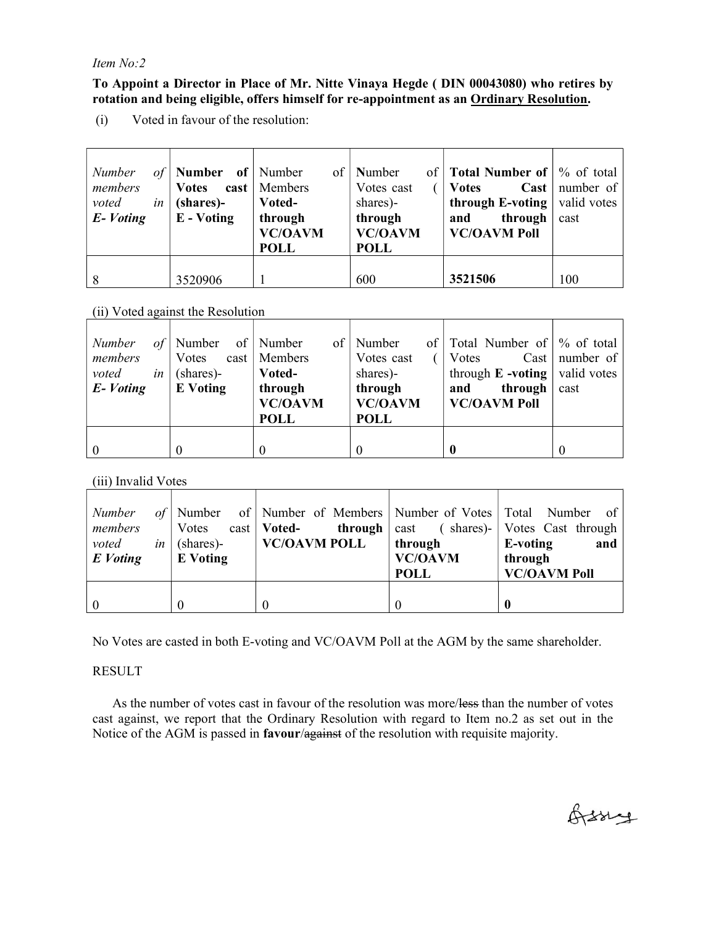#### Item No:2

To Appoint a Director in Place of Mr. Nitte Vinaya Hegde ( DIN 00043080) who retires by rotation and being eligible, offers himself for re-appointment as an Ordinary Resolution.

(i) Voted in favour of the resolution:

| Number<br>οf<br>members<br>voted<br>in<br>E-Voting | <b>Number</b> of Number<br><b>Votes</b><br>(shares)-<br>$E - Voting$ | of<br>$\text{cast}$   Members<br>Voted-<br>through<br><b>VC/OAVM</b><br><b>POLL</b> | Number<br>Votes cast<br>shares)-<br>through<br><b>VC/OAVM</b><br><b>POLL</b> | of   Total Number of $\frac{1}{2}$ of total<br><b>Votes</b><br><b>through E-voting</b> $\vert$ valid votes<br>through<br>and<br><b>VC/OAVM Poll</b> | <b>Cast</b>   number of $\vert$<br>cast |
|----------------------------------------------------|----------------------------------------------------------------------|-------------------------------------------------------------------------------------|------------------------------------------------------------------------------|-----------------------------------------------------------------------------------------------------------------------------------------------------|-----------------------------------------|
|                                                    | 3520906                                                              |                                                                                     | 600                                                                          | 3521506                                                                                                                                             | 100                                     |

### (ii) Voted against the Resolution

| <b>Number</b><br>οf<br>members<br>voted<br>in | Number<br>Votes<br>(shares)- | of   Number<br>of<br>cast   Members<br>Voted- | of 1<br>  Number<br>Votes cast<br>shares)- | Total Number of \% of total<br>Votes<br>through $E$ -voting   valid votes | Cast   number of |
|-----------------------------------------------|------------------------------|-----------------------------------------------|--------------------------------------------|---------------------------------------------------------------------------|------------------|
| E-Voting                                      | <b>E</b> Voting              | through<br><b>VC/OAVM</b><br><b>POLL</b>      | through<br><b>VC/OAVM</b><br><b>POLL</b>   | through<br>and<br><b>VC/OAVM Poll</b>                                     | cast             |
|                                               |                              | $\theta$                                      |                                            |                                                                           |                  |

### (iii) Invalid Votes

| Number   |                     | of Number of Number of Members Number of Votes Total Number of     |                |                     |
|----------|---------------------|--------------------------------------------------------------------|----------------|---------------------|
| members  |                     | Votes cast   Voted- through   cast ( shares)-   Votes Cast through |                |                     |
| voted    | <i>in</i> (shares)- | <b>VC/OAVM POLL</b>                                                | through        | E-voting<br>and     |
| E Voting | <b>E</b> Voting     |                                                                    | <b>VC/OAVM</b> | through             |
|          |                     |                                                                    | <b>POLL</b>    | <b>VC/OAVM Poll</b> |
|          |                     |                                                                    |                |                     |
|          | $\theta$            |                                                                    |                |                     |

No Votes are casted in both E-voting and VC/OAVM Poll at the AGM by the same shareholder.

### RESULT

As the number of votes cast in favour of the resolution was more/less than the number of votes cast against, we report that the Ordinary Resolution with regard to Item no.2 as set out in the Notice of the AGM is passed in **favour/against** of the resolution with requisite majority.

Orssings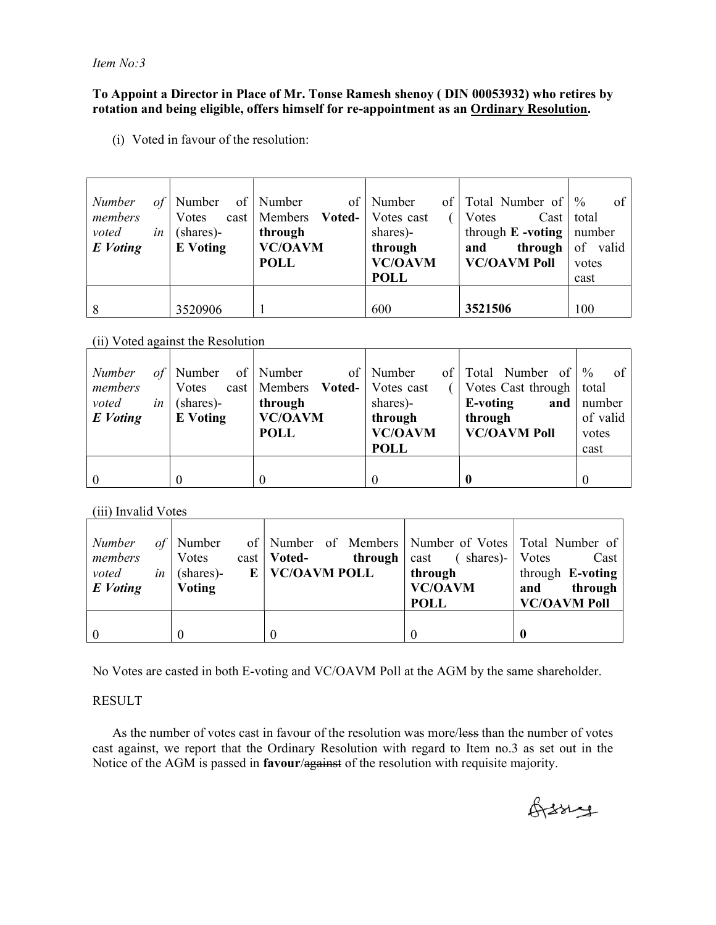Item No:3

#### To Appoint a Director in Place of Mr. Tonse Ramesh shenoy ( DIN 00053932) who retires by rotation and being eligible, offers himself for re-appointment as an Ordinary Resolution.

(i) Voted in favour of the resolution:

| Number   | οf | Number          | of   Number                               | of   Number<br>of <sub>1</sub> | Total Number of              | $\%$<br>of |
|----------|----|-----------------|-------------------------------------------|--------------------------------|------------------------------|------------|
| members  |    | Votes           | cast   Members <b>Voted-</b>   Votes cast |                                | Votes<br>Cast                | total      |
| voted    | in | (shares)-       | through                                   | shares)-                       | through $E$ -voting   number |            |
| E Voting |    | <b>E</b> Voting | <b>VC/OAVM</b>                            | through                        | through<br>and               | of valid   |
|          |    |                 | <b>POLL</b>                               | <b>VC/OAVM</b>                 | <b>VC/OAVM Poll</b>          | votes      |
|          |    |                 |                                           | <b>POLL</b>                    |                              | cast       |
|          |    |                 |                                           |                                |                              |            |
| 8        |    | 3520906         |                                           | 600                            | 3521506                      | 100        |

(ii) Voted against the Resolution

| <b>Number</b> | οf | Number          | of   Number                               | of   Number<br>$\ $ of $\ $ | Total Number of            | $\%$<br>of |
|---------------|----|-----------------|-------------------------------------------|-----------------------------|----------------------------|------------|
| members       |    | Votes           | cast   Members <b>Voted-</b>   Votes cast |                             | Votes Cast through   total |            |
| voted         | in | (shares)-       | through                                   | shares)-                    | E-voting<br>and $ $        | number     |
| E Voting      |    | <b>E</b> Voting | <b>VC/OAVM</b>                            | through                     | through                    | of valid   |
|               |    |                 | <b>POLL</b>                               | <b>VC/OAVM</b>              | <b>VC/OAVM Poll</b>        | votes      |
|               |    |                 |                                           | <b>POLL</b>                 |                            | cast       |
|               |    |                 |                                           |                             |                            |            |
|               |    |                 |                                           |                             |                            |            |

(iii) Invalid Votes

| <b>Number</b><br>members<br>voted<br>E Voting | $of$   Number<br>Votes<br><i>in</i> (shares)-<br>Voting | of   Number of Members   Number of Votes   Total Number of  <br>$\text{cast}$   <b>Voted</b> -<br>through  <br>$E$   VC/OAVM POLL | $($ shares)- $ $<br>cast<br>through<br><b>VC/OAVM</b><br><b>POLL</b> | Votes<br>Cast<br>through E-voting<br>through<br>and<br><b>VC/OAVM Poll</b> |
|-----------------------------------------------|---------------------------------------------------------|-----------------------------------------------------------------------------------------------------------------------------------|----------------------------------------------------------------------|----------------------------------------------------------------------------|
| $\overline{0}$                                |                                                         |                                                                                                                                   |                                                                      | $\mathbf 0$                                                                |

No Votes are casted in both E-voting and VC/OAVM Poll at the AGM by the same shareholder.

### RESULT

As the number of votes cast in favour of the resolution was more/less than the number of votes cast against, we report that the Ordinary Resolution with regard to Item no.3 as set out in the Notice of the AGM is passed in **favour/against** of the resolution with requisite majority.

Orssing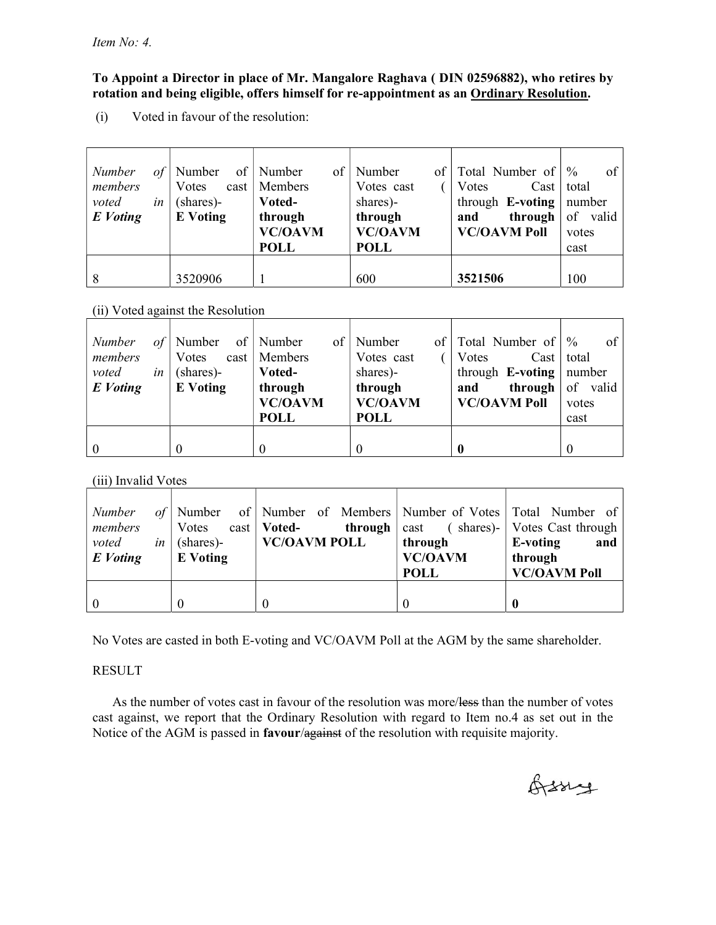### To Appoint a Director in place of Mr. Mangalore Raghava ( DIN 02596882), who retires by rotation and being eligible, offers himself for re-appointment as an Ordinary Resolution.

(i) Voted in favour of the resolution:

| Number<br>of<br>members        | $\vert$ of $\vert$<br>Number<br>Votes | of<br>Number<br>$cast \mid$ Members | Number<br>of  <br>Votes cast  | Total Number of<br>$\text{Cast}$<br>Votes | $\frac{0}{0}$<br>of<br>total |
|--------------------------------|---------------------------------------|-------------------------------------|-------------------------------|-------------------------------------------|------------------------------|
| voted<br>in<br><b>E</b> Voting | (shares)-<br><b>E</b> Voting          | Voted-<br>through                   | shares)-<br>through           | through $E$ -voting<br>through<br>and     | number<br>of valid           |
|                                |                                       | <b>VC/OAVM</b><br><b>POLL</b>       | <b>VC/OAVM</b><br><b>POLL</b> | <b>VC/OAVM Poll</b>                       | votes<br>cast                |
|                                | 3520906                               |                                     | 600                           | 3521506                                   | 100                          |

### (ii) Voted against the Resolution

| of<br>Number<br>members<br>voted<br>in<br>E Voting | Number<br>Votes<br>(shares)-<br><b>E</b> Voting | of   Number<br>of<br>cast   Members<br>Voted-<br>through<br><b>VC/OAVM</b><br><b>POLL</b> | Number<br>Votes cast<br>shares)-<br>through<br><b>VC/OAVM</b><br><b>POLL</b> | of   Total Number of  <br>Votes<br>$\text{Cast}$<br>through <b>E-voting</b> mumber<br>through $ $<br>and<br><b>VC/OAVM Poll</b> | of<br>$\frac{0}{0}$<br>total<br>of valid<br>votes<br>cast |
|----------------------------------------------------|-------------------------------------------------|-------------------------------------------------------------------------------------------|------------------------------------------------------------------------------|---------------------------------------------------------------------------------------------------------------------------------|-----------------------------------------------------------|
| $\theta$                                           |                                                 | $\cup$                                                                                    |                                                                              |                                                                                                                                 |                                                           |

### (iii) Invalid Votes

| Number<br>members<br>voted<br>E Voting | Votes cast   <b>Voted-</b><br><i>in</i> (shares)-<br><b>E</b> Voting | of Number of Number of Members Number of Votes Total Number of<br><b>VC/OAVM POLL</b> | through<br><b>VC/OAVM</b><br><b>POLL</b> | <b>through</b> $\vert$ cast (shares)- $\vert$ Votes Cast through<br>E-voting<br>and<br>through<br><b>VC/OAVM Poll</b> |
|----------------------------------------|----------------------------------------------------------------------|---------------------------------------------------------------------------------------|------------------------------------------|-----------------------------------------------------------------------------------------------------------------------|
|                                        |                                                                      |                                                                                       | 0                                        |                                                                                                                       |

No Votes are casted in both E-voting and VC/OAVM Poll at the AGM by the same shareholder.

## RESULT

As the number of votes cast in favour of the resolution was more/less than the number of votes cast against, we report that the Ordinary Resolution with regard to Item no.4 as set out in the Notice of the AGM is passed in **favour/against** of the resolution with requisite majority.

Orssig